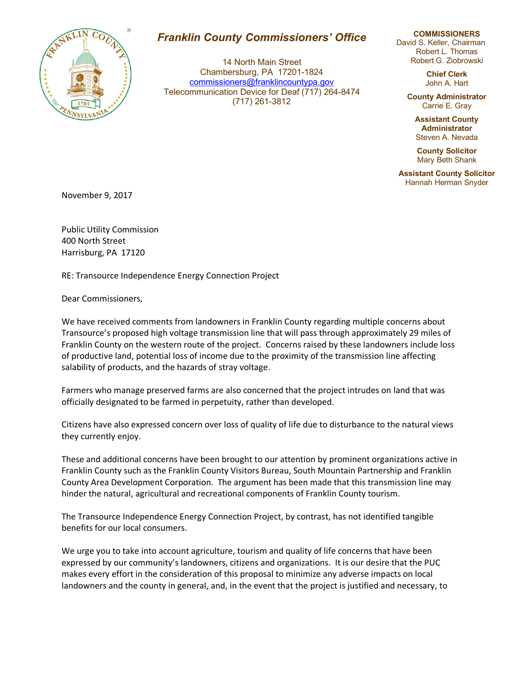

## *Franklin County Commissioners' Office*

14 North Main Street Chambersburg, PA 17201-1824 commissioners@franklincountypa.gov Telecommunication Device for Deaf (717) 264-8474 (717) 261-3812

## **COMMISSIONERS**

David S. Keller, Chairman Robert L. Thomas Robert G. Ziobrowski

> **Chief Clerk** John A. Hart

**County Administrator** Carrie E. Gray

> **Assistant County Administrator** Steven A. Nevada

**County Solicitor** Mary Beth Shank

**Assistant County Solicitor** Hannah Herman Snyder

November 9, 2017

Public Utility Commission 400 North Street Harrisburg, PA 17120

RE: Transource Independence Energy Connection Project

Dear Commissioners,

We have received comments from landowners in Franklin County regarding multiple concerns about Transource's proposed high voltage transmission line that will pass through approximately 29 miles of Franklin County on the western route of the project. Concerns raised by these landowners include loss of productive land, potential loss of income due to the proximity of the transmission line affecting salability of products, and the hazards of stray voltage.

Farmers who manage preserved farms are also concerned that the project intrudes on land that was officially designated to be farmed in perpetuity, rather than developed.

Citizens have also expressed concern over loss of quality of life due to disturbance to the natural views they currently enjoy.

These and additional concerns have been brought to our attention by prominent organizations active in Franklin County such as the Franklin County Visitors Bureau, South Mountain Partnership and Franklin County Area Development Corporation. The argument has been made that this transmission line may hinder the natural, agricultural and recreational components of Franklin County tourism.

The Transource Independence Energy Connection Project, by contrast, has not identified tangible benefits for our local consumers.

We urge you to take into account agriculture, tourism and quality of life concerns that have been expressed by our community's landowners, citizens and organizations. It is our desire that the PUC makes every effort in the consideration of this proposal to minimize any adverse impacts on local landowners and the county in general, and, in the event that the project is justified and necessary, to